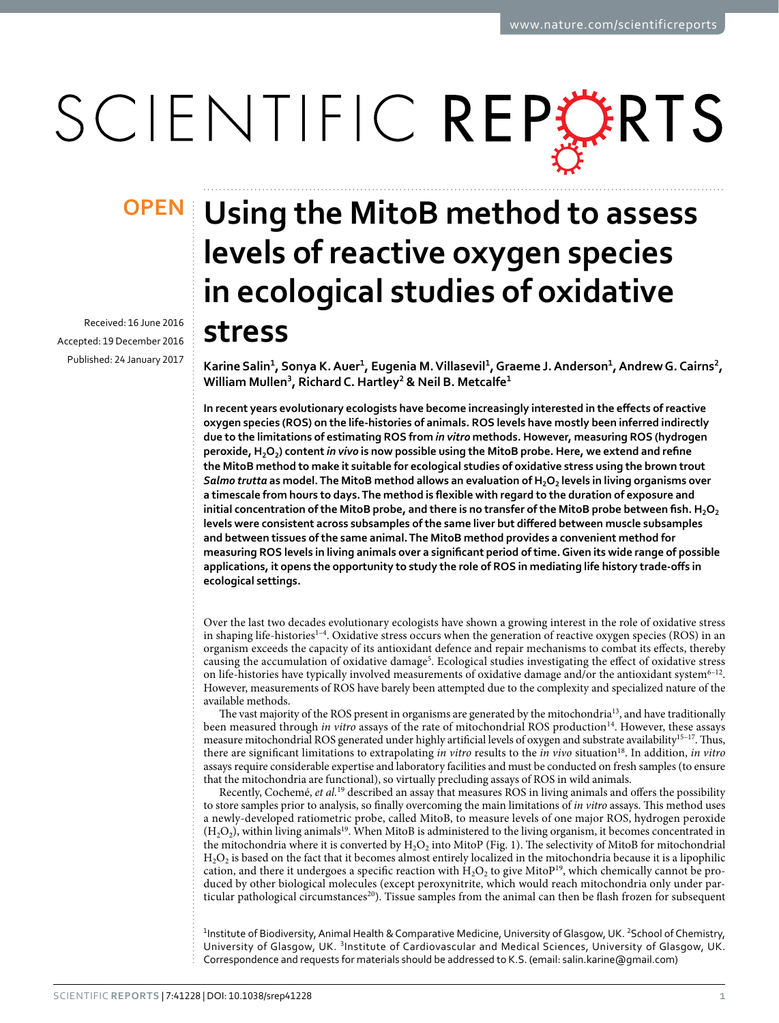# SCIENTIFIC REPERTS

Received: 16 June 2016 accepted: 19 December 2016 Published: 24 January 2017

## **Using the MitoB method to assess OPENlevels of reactive oxygen species in ecological studies of oxidative stress**

**Karine Salin<sup>1</sup>, Sonya K.Auer<sup>1</sup>, Eugenia M.Villasevil<sup>1</sup>, Graeme J.Anderson<sup>1</sup>, AndrewG. Cairns<sup>2</sup>, William Mullen<sup>3</sup>, RichardC. Hartley<sup>2</sup> & Neil B. Metcalfe<sup>1</sup>**

**In recent years evolutionary ecologists have become increasingly interested in the effects of reactive oxygen species (ROS) on the life-histories of animals. ROS levels have mostly been inferred indirectly due to the limitations of estimating ROS from** *in vitro* **methods. However, measuring ROS (hydrogen peroxide, H2O2) content** *in vivo* **is now possible using the MitoB probe. Here, we extend and refine the MitoB method to make it suitable for ecological studies of oxidative stress using the brown trout**  *Salmo trutta* **as model. The MitoB method allows an evaluation of H2O2 levels in living organisms over a timescale from hours to days. The method is flexible with regard to the duration of exposure and**  initial concentration of the MitoB probe, and there is no transfer of the MitoB probe between fish. H<sub>2</sub>O<sub>2</sub> **levels were consistent across subsamples of the same liver but differed between muscle subsamples and between tissues of the same animal. The MitoB method provides a convenient method for measuring ROS levels in living animals over a significant period of time. Given its wide range of possible applications, it opens the opportunity to study the role of ROS in mediating life history trade-offs in ecological settings.**

Over the last two decades evolutionary ecologists have shown a growing interest in the role of oxidative stress in shaping life-histories<sup>1-4</sup>. Oxidative stress occurs when the generation of reactive oxygen species (ROS) in an organism exceeds the capacity of its antioxidant defence and repair mechanisms to combat its effects, thereby causing the accumulation of oxidative damage<sup>[5](#page-6-1)</sup>. Ecological studies investigating the effect of oxidative stress on life-histories have typically involved measurements of oxidative damage and/or the antioxidant system<sup>6-12</sup>. However, measurements of ROS have barely been attempted due to the complexity and specialized nature of the available methods.

The vast majority of the ROS present in organisms are generated by the mitochondria[13](#page-7-0), and have traditionally been measured through *in vitro* assays of the rate of mitochondrial ROS production<sup>14</sup>. However, these assays measure mitochondrial ROS generated under highly artificial levels of oxygen and substrate availability<sup>15-17</sup>. Thus, there are significant limitations to extrapolating *in vitro* results to the *in vivo* situatio[n18.](#page-7-3) In addition, *in vitro* assays require considerable expertise and laboratory facilities and must be conducted on fresh samples (to ensure that the mitochondria are functional), so virtually precluding assays of ROS in wild animals.

Recently, Cochemé, *et al.*[19](#page-7-4) described an assay that measures ROS in living animals and offers the possibility to store samples prior to analysis, so finally overcoming the main limitations of *in vitro* assays. This method uses a newly-developed ratiometric probe, called MitoB, to measure levels of one major ROS, hydrogen peroxide  $(H<sub>2</sub>O<sub>2</sub>)$ , within living animals<sup>[19](#page-7-4)</sup>. When MitoB is administered to the living organism, it becomes concentrated in the mitochondria where it is converted by  $H_2O_2$  into MitoP ([Fig. 1\)](#page-1-0). The selectivity of MitoB for mitochondrial  $H<sub>2</sub>O<sub>2</sub>$  is based on the fact that it becomes almost entirely localized in the mitochondria because it is a lipophilic cation, and there it undergoes a specific reaction with  $H_2O_2$  to give MitoP<sup>[19](#page-7-4)</sup>, which chemically cannot be produced by other biological molecules (except peroxynitrite, which would reach mitochondria only under particular pathological circumstances<sup>20</sup>). Tissue samples from the animal can then be flash frozen for subsequent

<sup>1</sup>Institute of Biodiversity, Animal Health & Comparative Medicine, University of Glasgow, UK. <sup>2</sup>School of Chemistry, University of Glasgow, UK. <sup>3</sup>Institute of Cardiovascular and Medical Sciences, University of Glasgow, UK. Correspondence and requests for materials should be addressed to K.S. (email: [salin.karine@gmail.com\)](mailto:salin.karine@gmail.com)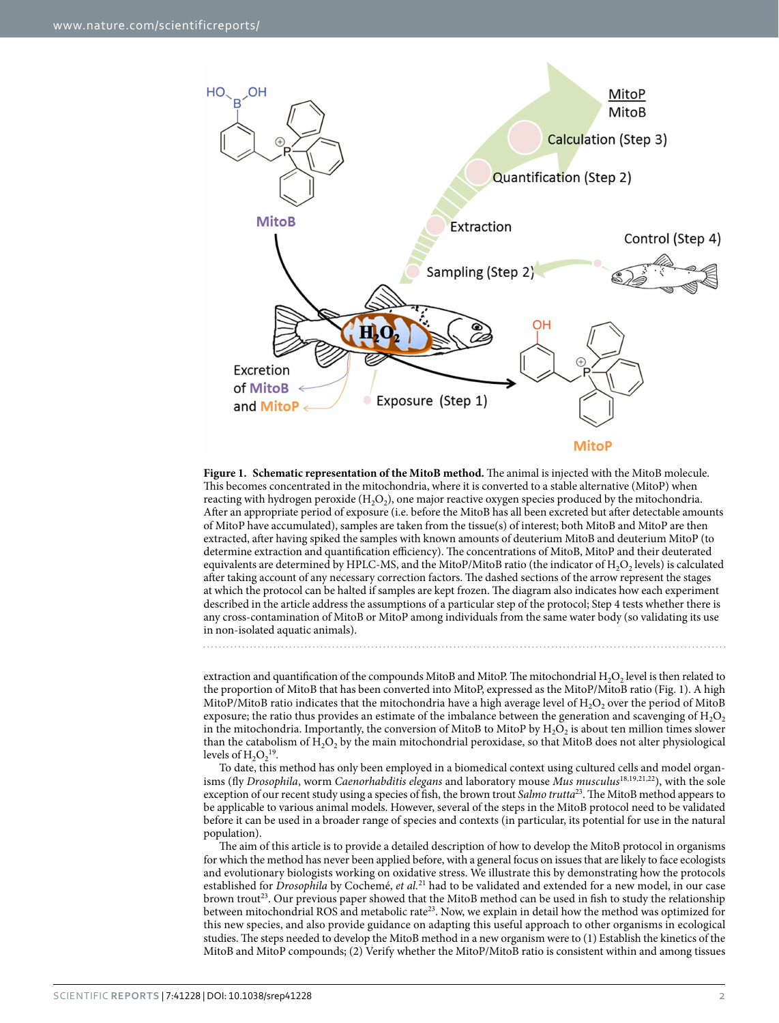

<span id="page-1-0"></span>**Figure 1. Schematic representation of the MitoB method.** The animal is injected with the MitoB molecule. This becomes concentrated in the mitochondria, where it is converted to a stable alternative (MitoP) when reacting with hydrogen peroxide  $(H_2O_2)$ , one major reactive oxygen species produced by the mitochondria. After an appropriate period of exposure (i.e. before the MitoB has all been excreted but after detectable amounts of MitoP have accumulated), samples are taken from the tissue(s) of interest; both MitoB and MitoP are then extracted, after having spiked the samples with known amounts of deuterium MitoB and deuterium MitoP (to determine extraction and quantification efficiency). The concentrations of MitoB, MitoP and their deuterated equivalents are determined by HPLC-MS, and the MitoP/MitoB ratio (the indicator of  $H_2O_2$  levels) is calculated after taking account of any necessary correction factors. The dashed sections of the arrow represent the stages at which the protocol can be halted if samples are kept frozen. The diagram also indicates how each experiment described in the article address the assumptions of a particular step of the protocol; Step 4 tests whether there is any cross-contamination of MitoB or MitoP among individuals from the same water body (so validating its use in non-isolated aquatic animals).

extraction and quantification of the compounds MitoB and MitoP. The mitochondrial  $H_2O_2$  level is then related to the proportion of MitoB that has been converted into MitoP, expressed as the MitoP/MitoB ratio ([Fig. 1](#page-1-0)). A high MitoP/MitoB ratio indicates that the mitochondria have a high average level of  $H<sub>2</sub>O<sub>2</sub>$  over the period of MitoB exposure; the ratio thus provides an estimate of the imbalance between the generation and scavenging of  $H_2O_2$ in the mitochondria. Importantly, the conversion of MitoB to MitoP by  $H_2O_2$  is about ten million times slower than the catabolism of  $H_2O_2$  by the main mitochondrial peroxidase, so that MitoB does not alter physiological levels of  $H_2O_2^{19}$ .

To date, this method has only been employed in a biomedical context using cultured cells and model organisms (fly *Drosophila*, worm *Caenorhabditis elegans* and laboratory mouse *Mus musculus*[18,](#page-7-3)[19,](#page-7-4)[21,](#page-7-6)[22\)](#page-7-7), with the sole exception of our recent study using a species of fish, the brown trout *Salmo trutta*[23](#page-7-8). The MitoB method appears to be applicable to various animal models. However, several of the steps in the MitoB protocol need to be validated before it can be used in a broader range of species and contexts (in particular, its potential for use in the natural population).

The aim of this article is to provide a detailed description of how to develop the MitoB protocol in organisms for which the method has never been applied before, with a general focus on issues that are likely to face ecologists and evolutionary biologists working on oxidative stress. We illustrate this by demonstrating how the protocols established for *Drosophila* by Cochemé, *et al.*[21](#page-7-6) had to be validated and extended for a new model, in our case brown trou[t23](#page-7-8). Our previous paper showed that the MitoB method can be used in fish to study the relationship between mitochondrial ROS and metabolic rate<sup>23</sup>. Now, we explain in detail how the method was optimized for this new species, and also provide guidance on adapting this useful approach to other organisms in ecological studies. The steps needed to develop the MitoB method in a new organism were to (1) Establish the kinetics of the MitoB and MitoP compounds; (2) Verify whether the MitoP/MitoB ratio is consistent within and among tissues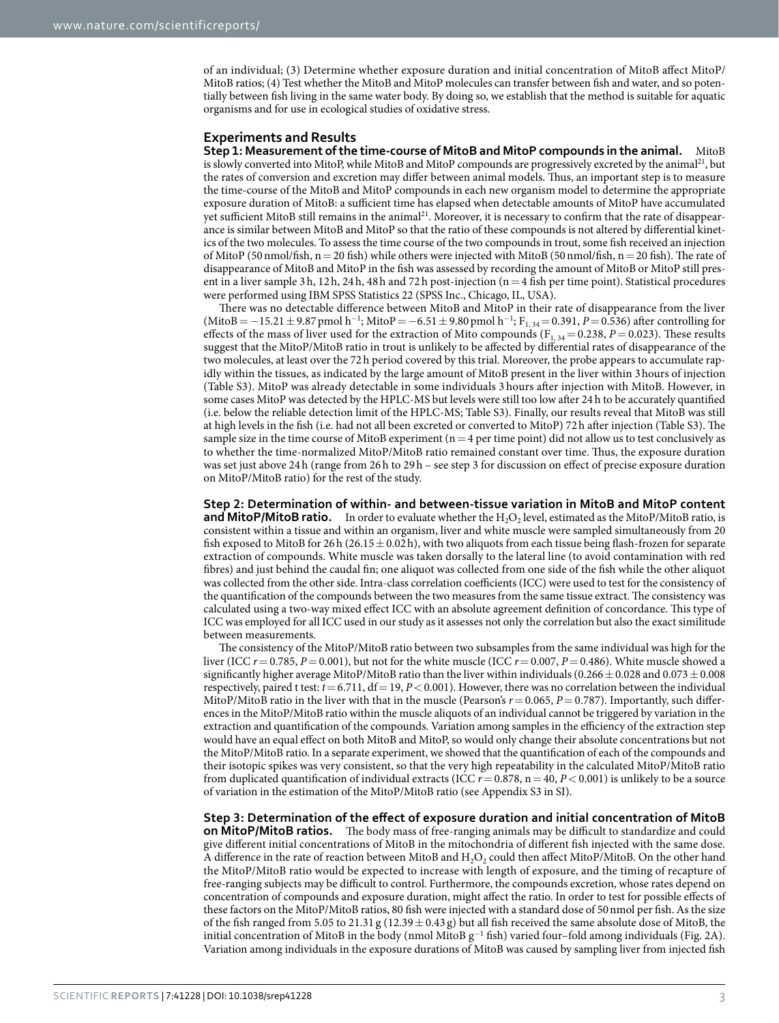of an individual; (3) Determine whether exposure duration and initial concentration of MitoB affect MitoP/ MitoB ratios; (4) Test whether the MitoB and MitoP molecules can transfer between fish and water, and so potentially between fish living in the same water body. By doing so, we establish that the method is suitable for aquatic organisms and for use in ecological studies of oxidative stress.

#### **Experiments and Results**

**Step 1: Measurement of the time-course of MitoB and MitoP compounds in the animal.** MitoB is slowly converted into MitoP, while MitoB and MitoP compounds are progressively excreted by the animal<sup>[21](#page-7-6)</sup>, but the rates of conversion and excretion may differ between animal models. Thus, an important step is to measure the time-course of the MitoB and MitoP compounds in each new organism model to determine the appropriate exposure duration of MitoB: a sufficient time has elapsed when detectable amounts of MitoP have accumulated yet sufficient MitoB still remains in the animal<sup>21</sup>. Moreover, it is necessary to confirm that the rate of disappearance is similar between MitoB and MitoP so that the ratio of these compounds is not altered by differential kinetics of the two molecules. To assess the time course of the two compounds in trout, some fish received an injection of MitoP (50 nmol/fish,  $n=20$  fish) while others were injected with MitoB (50 nmol/fish,  $n=20$  fish). The rate of disappearance of MitoB and MitoP in the fish was assessed by recording the amount of MitoB or MitoP still present in a liver sample 3h, 12h, 24h, 48h and 72h post-injection (n=4 fish per time point). Statistical procedures were performed using IBM SPSS Statistics 22 (SPSS Inc., Chicago, IL, USA).

There was no detectable difference between MitoB and MitoP in their rate of disappearance from the liver (MitoB = −15.21 ± 9.87 pmol h<sup>-1</sup>; MitoP = −6.51 ± 9.80 pmol h<sup>-1</sup>; F<sub>1,34</sub> = 0.391, P = 0.536) after controlling for effects of the mass of liver used for the extraction of Mito compounds ( $F_{1, 34} = 0.238$ ,  $P = 0.023$ ). These results suggest that the MitoP/MitoB ratio in trout is unlikely to be affected by differential rates of disappearance of the two molecules, at least over the 72h period covered by this trial. Moreover, the probe appears to accumulate rapidly within the tissues, as indicated by the large amount of MitoB present in the liver within 3hours of injection (Table S3). MitoP was already detectable in some individuals 3 hours after injection with MitoB. However, in some cases MitoP was detected by the HPLC-MS but levels were still too low after 24 h to be accurately quantified (i.e. below the reliable detection limit of the HPLC-MS; Table S3). Finally, our results reveal that MitoB was still at high levels in the fish (i.e. had not all been excreted or converted to MitoP) 72h after injection (Table S3). The sample size in the time course of MitoB experiment ( $n=4$  per time point) did not allow us to test conclusively as to whether the time-normalized MitoP/MitoB ratio remained constant over time. Thus, the exposure duration was set just above 24h (range from 26h to 29h – see step 3 for discussion on effect of precise exposure duration on MitoP/MitoB ratio) for the rest of the study.

**Step 2: Determination of within- and between-tissue variation in MitoB and MitoP content and MitoP/MitoB ratio.** In order to evaluate whether the  $H_2O_2$  level, estimated as the MitoP/MitoB ratio, is consistent within a tissue and within an organism, liver and white muscle were sampled simultaneously from 20 fish exposed to MitoB for 26h (26.15 $\pm$ 0.02h), with two aliquots from each tissue being flash-frozen for separate extraction of compounds. White muscle was taken dorsally to the lateral line (to avoid contamination with red fibres) and just behind the caudal fin; one aliquot was collected from one side of the fish while the other aliquot was collected from the other side. Intra-class correlation coefficients (ICC) were used to test for the consistency of the quantification of the compounds between the two measures from the same tissue extract. The consistency was calculated using a two-way mixed effect ICC with an absolute agreement definition of concordance. This type of ICC was employed for all ICC used in our study as it assesses not only the correlation but also the exact similitude between measurements.

The consistency of the MitoP/MitoB ratio between two subsamples from the same individual was high for the liver (ICC  $r = 0.785$ ,  $P = 0.001$ ), but not for the white muscle (ICC  $r = 0.007$ ,  $P = 0.486$ ). White muscle showed a significantly higher average MitoP/MitoB ratio than the liver within individuals (0.266 $\pm$ 0.028 and 0.073 $\pm$ 0.008 respectively, paired t test:  $t = 6.711$ , df = 19,  $P < 0.001$ ). However, there was no correlation between the individual MitoP/MitoB ratio in the liver with that in the muscle (Pearson's  $r = 0.065$ ,  $P = 0.787$ ). Importantly, such differences in the MitoP/MitoB ratio within the muscle aliquots of an individual cannot be triggered by variation in the extraction and quantification of the compounds. Variation among samples in the efficiency of the extraction step would have an equal effect on both MitoB and MitoP, so would only change their absolute concentrations but not the MitoP/MitoB ratio. In a separate experiment, we showed that the quantification of each of the compounds and their isotopic spikes was very consistent, so that the very high repeatability in the calculated MitoP/MitoB ratio from duplicated quantification of individual extracts (ICC *r*=0.878, n=40, *P*<0.001) is unlikely to be a source of variation in the estimation of the MitoP/MitoB ratio (see Appendix S3 in SI).

**Step 3: Determination of the effect of exposure duration and initial concentration of MitoB on MitoP/MitoB ratios.** The body mass of free-ranging animals may be difficult to standardize and could give different initial concentrations of MitoB in the mitochondria of different fish injected with the same dose. A difference in the rate of reaction between MitoB and  $H_2O_2$  could then affect MitoP/MitoB. On the other hand the MitoP/MitoB ratio would be expected to increase with length of exposure, and the timing of recapture of free-ranging subjects may be difficult to control. Furthermore, the compounds excretion, whose rates depend on concentration of compounds and exposure duration, might affect the ratio. In order to test for possible effects of these factors on the MitoP/MitoB ratios, 80 fish were injected with a standard dose of 50nmol per fish. As the size of the fish ranged from 5.05 to 21.31 g (12.39  $\pm$  0.43 g) but all fish received the same absolute dose of MitoB, the initial concentration of MitoB in the body (nmol MitoB  $g^{-1}$  fish) varied four–fold among individuals [\(Fig. 2A](#page-3-0)). Variation among individuals in the exposure durations of MitoB was caused by sampling liver from injected fish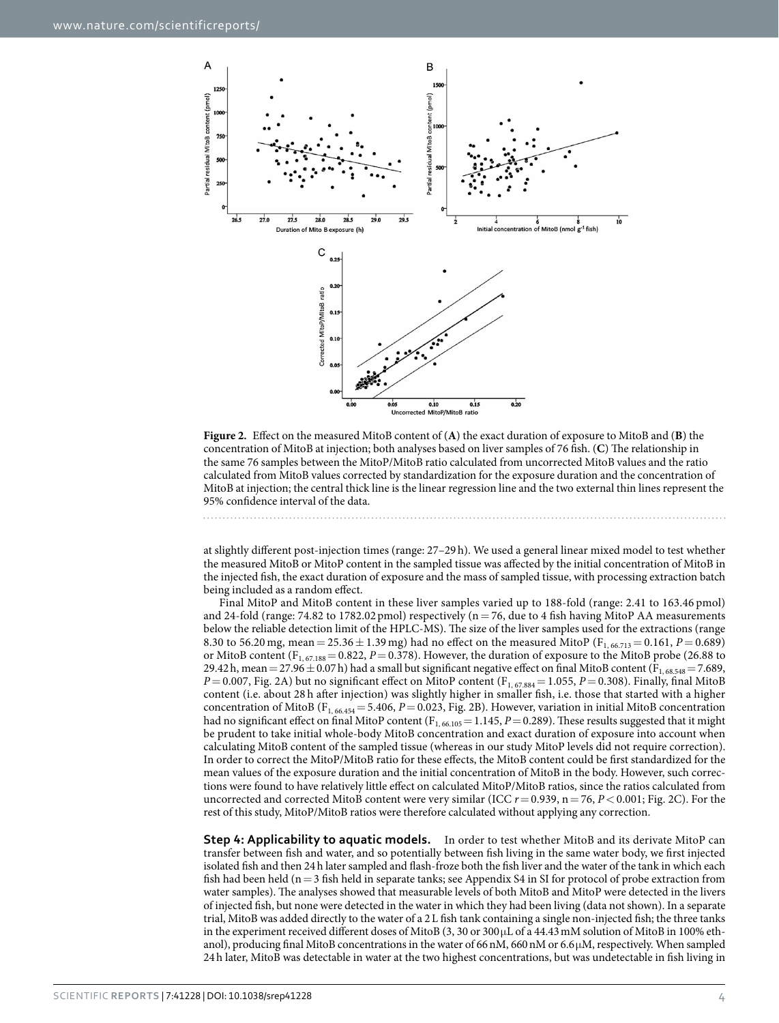

<span id="page-3-0"></span>**Figure 2.** Effect on the measured MitoB content of (**A**) the exact duration of exposure to MitoB and (**B**) the concentration of MitoB at injection; both analyses based on liver samples of 76 fish. (**C**) The relationship in the same 76 samples between the MitoP/MitoB ratio calculated from uncorrected MitoB values and the ratio calculated from MitoB values corrected by standardization for the exposure duration and the concentration of MitoB at injection; the central thick line is the linear regression line and the two external thin lines represent the 95% confidence interval of the data.

at slightly different post-injection times (range: 27–29 h). We used a general linear mixed model to test whether the measured MitoB or MitoP content in the sampled tissue was affected by the initial concentration of MitoB in the injected fish, the exact duration of exposure and the mass of sampled tissue, with processing extraction batch being included as a random effect.

Final MitoP and MitoB content in these liver samples varied up to 188-fold (range: 2.41 to 163.46 pmol) and 24-fold (range: 74.82 to 1782.02 pmol) respectively ( $n=76$ , due to 4 fish having MitoP AA measurements below the reliable detection limit of the HPLC-MS). The size of the liver samples used for the extractions (range 8.30 to 56.20 mg, mean =  $25.36 \pm 1.39$  mg) had no effect on the measured MitoP (F<sub>1, 66.713</sub> = 0.161, *P* = 0.689) or MitoB content  $(F_{1, 67.188} = 0.822, P = 0.378)$ . However, the duration of exposure to the MitoB probe (26.88 to 29.42h, mean = 27.96  $\pm$  0.07h) had a small but significant negative effect on final MitoB content (F<sub>1, 68.548</sub> = 7.689,  $P = 0.007$ , [Fig. 2A\)](#page-3-0) but no significant effect on MitoP content (F<sub>1, 67.884</sub> = 1.055, *P* = 0.308). Finally, final MitoB content (i.e. about 28 h after injection) was slightly higher in smaller fish, i.e. those that started with a higher concentration of MitoB (F1, 66.454= 5.406, *P*= 0.023, [Fig. 2B](#page-3-0)). However, variation in initial MitoB concentration had no significant effect on final MitoP content  $(F_{1, 66, 105} = 1.145, P = 0.289)$ . These results suggested that it might be prudent to take initial whole-body MitoB concentration and exact duration of exposure into account when calculating MitoB content of the sampled tissue (whereas in our study MitoP levels did not require correction). In order to correct the MitoP/MitoB ratio for these effects, the MitoB content could be first standardized for the mean values of the exposure duration and the initial concentration of MitoB in the body. However, such corrections were found to have relatively little effect on calculated MitoP/MitoB ratios, since the ratios calculated from uncorrected and corrected MitoB content were very similar (ICC *r*= 0.939, n= 76, *P*< 0.001; [Fig. 2C](#page-3-0)). For the rest of this study, MitoP/MitoB ratios were therefore calculated without applying any correction.

**Step 4: Applicability to aquatic models.** In order to test whether MitoB and its derivate MitoP can transfer between fish and water, and so potentially between fish living in the same water body, we first injected isolated fish and then 24h later sampled and flash-froze both the fish liver and the water of the tank in which each fish had been held ( $n=3$  fish held in separate tanks; see Appendix S4 in SI for protocol of probe extraction from water samples). The analyses showed that measurable levels of both MitoB and MitoP were detected in the livers of injected fish, but none were detected in the water in which they had been living (data not shown). In a separate trial, MitoB was added directly to the water of a 2L fish tank containing a single non-injected fish; the three tanks in the experiment received different doses of MitoB (3, 30 or 300μL of a 44.43mM solution of MitoB in 100% ethanol), producing final MitoB concentrations in the water of 66nM, 660nM or 6.6μM, respectively. When sampled 24h later, MitoB was detectable in water at the two highest concentrations, but was undetectable in fish living in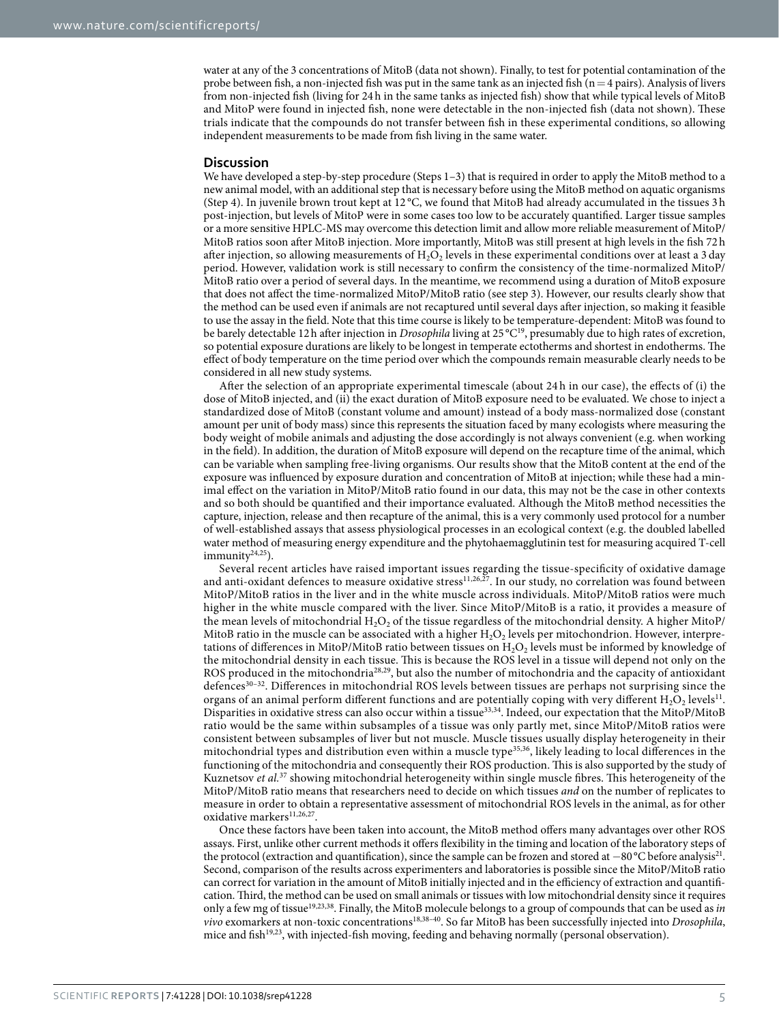water at any of the 3 concentrations of MitoB (data not shown). Finally, to test for potential contamination of the probe between fish, a non-injected fish was put in the same tank as an injected fish ( $n=4$  pairs). Analysis of livers from non-injected fish (living for 24h in the same tanks as injected fish) show that while typical levels of MitoB and MitoP were found in injected fish, none were detectable in the non-injected fish (data not shown). These trials indicate that the compounds do not transfer between fish in these experimental conditions, so allowing independent measurements to be made from fish living in the same water.

#### **Discussion**

We have developed a step-by-step procedure (Steps 1–3) that is required in order to apply the MitoB method to a new animal model, with an additional step that is necessary before using the MitoB method on aquatic organisms (Step 4). In juvenile brown trout kept at 12 °C, we found that MitoB had already accumulated in the tissues 3h post-injection, but levels of MitoP were in some cases too low to be accurately quantified. Larger tissue samples or a more sensitive HPLC-MS may overcome this detection limit and allow more reliable measurement of MitoP/ MitoB ratios soon after MitoB injection. More importantly, MitoB was still present at high levels in the fish 72h after injection, so allowing measurements of  $H_2O_2$  levels in these experimental conditions over at least a 3 day period. However, validation work is still necessary to confirm the consistency of the time-normalized MitoP/ MitoB ratio over a period of several days. In the meantime, we recommend using a duration of MitoB exposure that does not affect the time-normalized MitoP/MitoB ratio (see step 3). However, our results clearly show that the method can be used even if animals are not recaptured until several days after injection, so making it feasible to use the assay in the field. Note that this time course is likely to be temperature-dependent: MitoB was found to be barely detectable 12h after injection in *Drosophila* living at 25 °C<sup>[19](#page-7-4)</sup>, presumably due to high rates of excretion, so potential exposure durations are likely to be longest in temperate ectotherms and shortest in endotherms. The effect of body temperature on the time period over which the compounds remain measurable clearly needs to be considered in all new study systems.

After the selection of an appropriate experimental timescale (about 24 h in our case), the effects of (i) the dose of MitoB injected, and (ii) the exact duration of MitoB exposure need to be evaluated. We chose to inject a standardized dose of MitoB (constant volume and amount) instead of a body mass-normalized dose (constant amount per unit of body mass) since this represents the situation faced by many ecologists where measuring the body weight of mobile animals and adjusting the dose accordingly is not always convenient (e.g. when working in the field). In addition, the duration of MitoB exposure will depend on the recapture time of the animal, which can be variable when sampling free-living organisms. Our results show that the MitoB content at the end of the exposure was influenced by exposure duration and concentration of MitoB at injection; while these had a minimal effect on the variation in MitoP/MitoB ratio found in our data, this may not be the case in other contexts and so both should be quantified and their importance evaluated. Although the MitoB method necessities the capture, injection, release and then recapture of the animal, this is a very commonly used protocol for a number of well-established assays that assess physiological processes in an ecological context (e.g. the doubled labelled water method of measuring energy expenditure and the phytohaemagglutinin test for measuring acquired T-cell  $immunity^{24,25}$  $immunity^{24,25}$  $immunity^{24,25}$  $immunity^{24,25}$ ).

Several recent articles have raised important issues regarding the tissue-specificity of oxidative damage and anti-oxidant defences to measure oxidative stress<sup>11[,26](#page-7-11),[27](#page-7-12)</sup>. In our study, no correlation was found between MitoP/MitoB ratios in the liver and in the white muscle across individuals. MitoP/MitoB ratios were much higher in the white muscle compared with the liver. Since MitoP/MitoB is a ratio, it provides a measure of the mean levels of mitochondrial  $H_2O_2$  of the tissue regardless of the mitochondrial density. A higher MitoP/ MitoB ratio in the muscle can be associated with a higher  $H_2O_2$  levels per mitochondrion. However, interpretations of differences in MitoP/MitoB ratio between tissues on  $H_2O_2$  levels must be informed by knowledge of the mitochondrial density in each tissue. This is because the ROS level in a tissue will depend not only on the ROS produced in the mitochondria<sup>[28,](#page-7-13)29</sup>, but also the number of mitochondria and the capacity of antioxidant defences<sup>30-32</sup>. Differences in mitochondrial ROS levels between tissues are perhaps not surprising since the organs of an animal perform different functions and are potentially coping with very different  $H_2O_2$  levels<sup>11</sup>. Disparities in oxidative stress can also occur within a tissue<sup>33,34</sup>. Indeed, our expectation that the MitoP/MitoB ratio would be the same within subsamples of a tissue was only partly met, since MitoP/MitoB ratios were consistent between subsamples of liver but not muscle. Muscle tissues usually display heterogeneity in their mitochondrial types and distribution even within a muscle type[35](#page-7-18)[,36](#page-7-19), likely leading to local differences in the functioning of the mitochondria and consequently their ROS production. This is also supported by the study of Kuznetsov *et al.*[37](#page-7-20) showing mitochondrial heterogeneity within single muscle fibres. This heterogeneity of the MitoP/MitoB ratio means that researchers need to decide on which tissues *and* on the number of replicates to measure in order to obtain a representative assessment of mitochondrial ROS levels in the animal, as for other oxidative markers  $^{11,26,27}.$  $^{11,26,27}.$  $^{11,26,27}.$  $^{11,26,27}.$ 

Once these factors have been taken into account, the MitoB method offers many advantages over other ROS assays. First, unlike other current methods it offers flexibility in the timing and location of the laboratory steps of the protocol (extraction and quantification), since the sample can be frozen and stored at −80°C before analysi[s21.](#page-7-6) Second, comparison of the results across experimenters and laboratories is possible since the MitoP/MitoB ratio can correct for variation in the amount of MitoB initially injected and in the efficiency of extraction and quantification. Third, the method can be used on small animals or tissues with low mitochondrial density since it requires only a few mg of tissue[19](#page-7-4),[23](#page-7-8),[38](#page-7-21). Finally, the MitoB molecule belongs to a group of compounds that can be used as *in vivo* exomarkers at non-toxic concentrations[18](#page-7-3),[38–40.](#page-7-21) So far MitoB has been successfully injected into *Drosophila*, mice and fish<sup>19,23</sup>, with injected-fish moving, feeding and behaving normally (personal observation).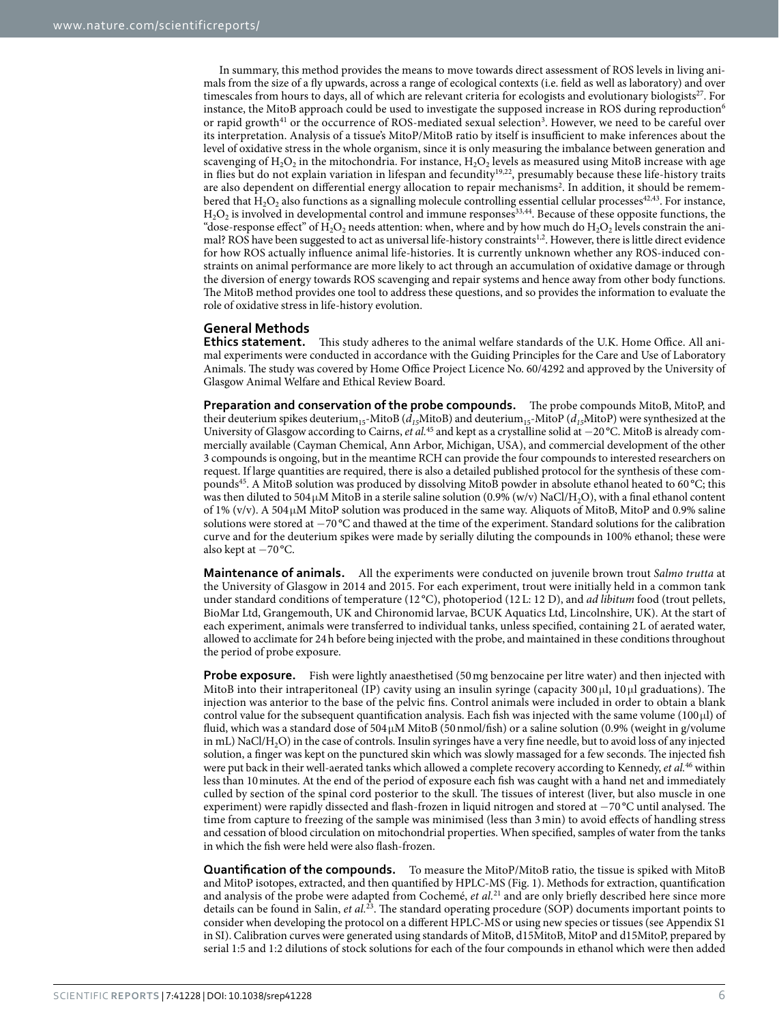In summary, this method provides the means to move towards direct assessment of ROS levels in living animals from the size of a fly upwards, across a range of ecological contexts (i.e. field as well as laboratory) and over timescales from hours to days, all of which are relevant criteria for ecologists and evolutionary biologists<sup>27</sup>. For instance, the MitoB approach could be used to investigate the supposed increase in ROS during reproduction<sup>[6](#page-6-2)</sup> or rapid growth<sup>41</sup> or the occurrence of ROS-mediated sexual selection<sup>[3](#page-6-4)</sup>. However, we need to be careful over its interpretation. Analysis of a tissue's MitoP/MitoB ratio by itself is insufficient to make inferences about the level of oxidative stress in the whole organism, since it is only measuring the imbalance between generation and scavenging of  $H_2O_2$  in the mitochondria. For instance,  $H_2O_2$  levels as measured using MitoB increase with age in flies but do not explain variation in lifespan and fecundity[19](#page-7-4),[22](#page-7-7), presumably because these life-history traits are also dependent on differential energy allocation to repair mechanisms<sup>[2](#page-6-5)</sup>. In addition, it should be remembered that  $H_2O_2$  also functions as a signalling molecule controlling essential cellular processes<sup>[42](#page-7-23),[43](#page-7-24)</sup>. For instance,  $H_2O_2$  is involved in developmental control and immune responses<sup>[33,](#page-7-16)44</sup>. Because of these opposite functions, the "dose-response effect" of H<sub>2</sub>O<sub>2</sub> needs attention: when, where and by how much do H<sub>2</sub>O<sub>2</sub> levels constrain the ani-mal? ROS have been suggested to act as universal life-history constraints<sup>[1,](#page-6-0)2</sup>. However, there is little direct evidence for how ROS actually influence animal life-histories. It is currently unknown whether any ROS-induced constraints on animal performance are more likely to act through an accumulation of oxidative damage or through the diversion of energy towards ROS scavenging and repair systems and hence away from other body functions. The MitoB method provides one tool to address these questions, and so provides the information to evaluate the role of oxidative stress in life-history evolution.

### **General Methods**

**Ethics statement.** This study adheres to the animal welfare standards of the U.K. Home Office. All animal experiments were conducted in accordance with the Guiding Principles for the Care and Use of Laboratory Animals. The study was covered by Home Office Project Licence No. 60/4292 and approved by the University of Glasgow Animal Welfare and Ethical Review Board.

**Preparation and conservation of the probe compounds.** The probe compounds MitoB, MitoP, and their deuterium spikes deuterium<sub>15</sub>-MitoB ( $d_{15}$ MitoB) and deuterium<sub>15</sub>-MitoP ( $d_{15}$ MitoP) were synthesized at the University of Glasgow according to Cairns, *et al.*[45](#page-7-26) and kept as a crystalline solid at −20 °C. MitoB is already commercially available (Cayman Chemical, Ann Arbor, Michigan, USA), and commercial development of the other 3 compounds is ongoing, but in the meantime RCH can provide the four compounds to interested researchers on request. If large quantities are required, there is also a detailed published protocol for the synthesis of these compounds[45](#page-7-26). A MitoB solution was produced by dissolving MitoB powder in absolute ethanol heated to 60 °C; this was then diluted to 504  $\mu$ M MitoB in a sterile saline solution (0.9% (w/v) NaCl/H<sub>2</sub>O), with a final ethanol content of 1% (v/v). A 504μM MitoP solution was produced in the same way. Aliquots of MitoB, MitoP and 0.9% saline solutions were stored at −70 °C and thawed at the time of the experiment. Standard solutions for the calibration curve and for the deuterium spikes were made by serially diluting the compounds in 100% ethanol; these were also kept at −70 °C.

**Maintenance of animals.** All the experiments were conducted on juvenile brown trout *Salmo trutta* at the University of Glasgow in 2014 and 2015. For each experiment, trout were initially held in a common tank under standard conditions of temperature (12 °C), photoperiod (12L: 12 D), and *ad libitum* food (trout pellets, BioMar Ltd, Grangemouth, UK and Chironomid larvae, BCUK Aquatics Ltd, Lincolnshire, UK). At the start of each experiment, animals were transferred to individual tanks, unless specified, containing 2L of aerated water, allowed to acclimate for 24h before being injected with the probe, and maintained in these conditions throughout the period of probe exposure.

**Probe exposure.** Fish were lightly anaesthetised (50mg benzocaine per litre water) and then injected with MitoB into their intraperitoneal (IP) cavity using an insulin syringe (capacity 300 μl, 10 μl graduations). The injection was anterior to the base of the pelvic fins. Control animals were included in order to obtain a blank control value for the subsequent quantification analysis. Each fish was injected with the same volume (100μl) of fluid, which was a standard dose of 504μM MitoB (50nmol/fish) or a saline solution (0.9% (weight in g/volume in mL) NaCl/H2O) in the case of controls. Insulin syringes have a very fine needle, but to avoid loss of any injected solution, a finger was kept on the punctured skin which was slowly massaged for a few seconds. The injected fish were put back in their well-aerated tanks which allowed a complete recovery according to Kennedy, *et al.*[46](#page-7-27) within less than 10minutes. At the end of the period of exposure each fish was caught with a hand net and immediately culled by section of the spinal cord posterior to the skull. The tissues of interest (liver, but also muscle in one experiment) were rapidly dissected and flash-frozen in liquid nitrogen and stored at −70 °C until analysed. The time from capture to freezing of the sample was minimised (less than 3 min) to avoid effects of handling stress and cessation of blood circulation on mitochondrial properties. When specified, samples of water from the tanks in which the fish were held were also flash-frozen.

**Quantification of the compounds.** To measure the MitoP/MitoB ratio, the tissue is spiked with MitoB and MitoP isotopes, extracted, and then quantified by HPLC-MS [\(Fig. 1\)](#page-1-0). Methods for extraction, quantification and analysis of the probe were adapted from Cochemé, *et al.*[21](#page-7-6) and are only briefly described here since more details can be found in Salin, *et al.*[23.](#page-7-8) The standard operating procedure (SOP) documents important points to consider when developing the protocol on a different HPLC-MS or using new species or tissues (see Appendix S1 in SI). Calibration curves were generated using standards of MitoB, d15MitoB, MitoP and d15MitoP, prepared by serial 1:5 and 1:2 dilutions of stock solutions for each of the four compounds in ethanol which were then added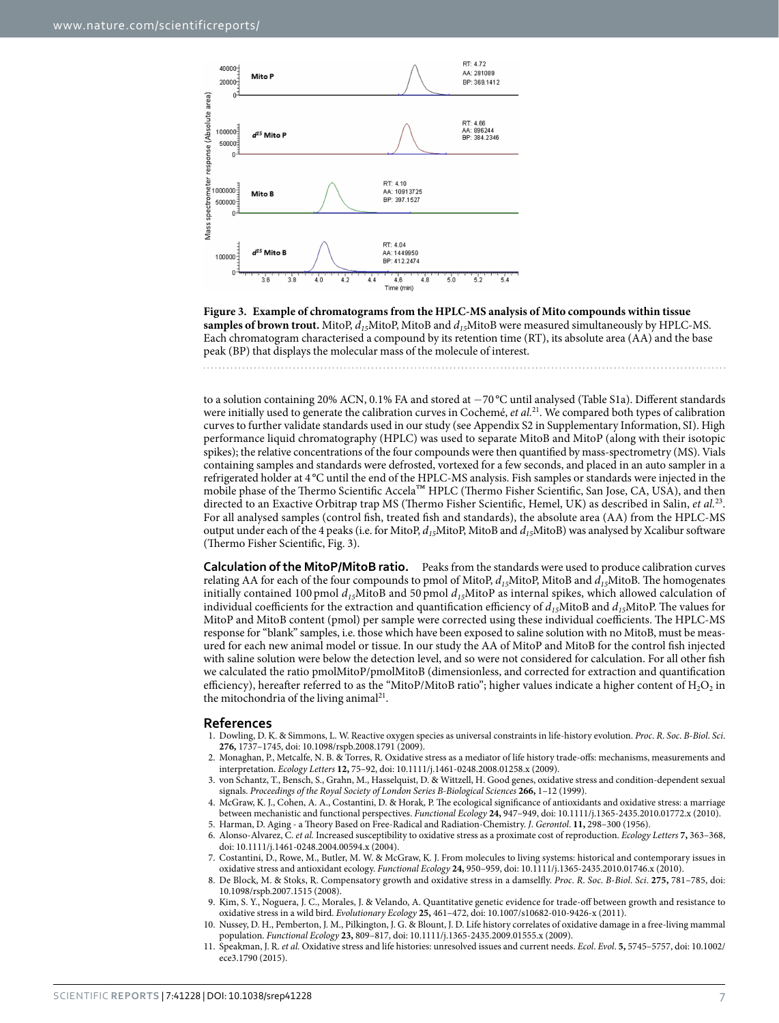

<span id="page-6-6"></span>**Figure 3. Example of chromatograms from the HPLC-MS analysis of Mito compounds within tissue samples of brown trout.** MitoP,  $d_{15}$ MitoP, MitoB and  $d_{15}$ MitoB were measured simultaneously by HPLC-MS. Each chromatogram characterised a compound by its retention time (RT), its absolute area (AA) and the base peak (BP) that displays the molecular mass of the molecule of interest.

to a solution containing 20% ACN, 0.1% FA and stored at −70 °C until analysed (Table S1a). Different standards were initially used to generate the calibration curves in Cochemé, *et al.*[21](#page-7-6). We compared both types of calibration curves to further validate standards used in our study (see Appendix S2 in Supplementary Information, SI). High performance liquid chromatography (HPLC) was used to separate MitoB and MitoP (along with their isotopic spikes); the relative concentrations of the four compounds were then quantified by mass-spectrometry (MS). Vials containing samples and standards were defrosted, vortexed for a few seconds, and placed in an auto sampler in a refrigerated holder at 4 °C until the end of the HPLC-MS analysis. Fish samples or standards were injected in the mobile phase of the Thermo Scientific Accela™ HPLC (Thermo Fisher Scientific, San Jose, CA, USA), and then directed to an Exactive Orbitrap trap MS (Thermo Fisher Scientific, Hemel, UK) as described in Salin, *et al.*[23.](#page-7-8) For all analysed samples (control fish, treated fish and standards), the absolute area (AA) from the HPLC-MS output under each of the 4 peaks (i.e. for MitoP, *d15*MitoP, MitoB and *d15*MitoB) was analysed by Xcalibur software (Thermo Fisher Scientific, [Fig. 3](#page-6-6)).

**Calculation of the MitoP/MitoB ratio.** Peaks from the standards were used to produce calibration curves relating AA for each of the four compounds to pmol of MitoP, *d15*MitoP, MitoB and *d15*MitoB. The homogenates initially contained 100 pmol  $d_{15}$ MitoB and 50 pmol  $d_{15}$ MitoP as internal spikes, which allowed calculation of individual coefficients for the extraction and quantification efficiency of  $d_{15}$ MitoB and  $d_{15}$ MitoP. The values for MitoP and MitoB content (pmol) per sample were corrected using these individual coefficients. The HPLC-MS response for "blank" samples, i.e. those which have been exposed to saline solution with no MitoB, must be measured for each new animal model or tissue. In our study the AA of MitoP and MitoB for the control fish injected with saline solution were below the detection level, and so were not considered for calculation. For all other fish we calculated the ratio pmolMitoP/pmolMitoB (dimensionless, and corrected for extraction and quantification efficiency), hereafter referred to as the "MitoP/MitoB ratio"; higher values indicate a higher content of  $H_2O_2$  in the mitochondria of the living animal<sup>21</sup>.

#### **References**

- <span id="page-6-0"></span>1. Dowling, D. K. & Simmons, L. W. Reactive oxygen species as universal constraints in life-history evolution. *Proc*. *R*. *Soc*. *B-Biol*. *Sci*. **276,** 1737–1745, doi: 10.1098/rspb.2008.1791 (2009).
- <span id="page-6-5"></span>2. Monaghan, P., Metcalfe, N. B. & Torres, R. Oxidative stress as a mediator of life history trade-offs: mechanisms, measurements and interpretation. *Ecology Letters* **12,** 75–92, doi: 10.1111/j.1461-0248.2008.01258.x (2009).
- <span id="page-6-4"></span>3. von Schantz, T., Bensch, S., Grahn, M., Hasselquist, D. & Wittzell, H. Good genes, oxidative stress and condition-dependent sexual signals. *Proceedings of the Royal Society of London Series B-Biological Sciences* **266,** 1–12 (1999).
- 4. McGraw, K. J., Cohen, A. A., Costantini, D. & Horak, P. The ecological significance of antioxidants and oxidative stress: a marriage between mechanistic and functional perspectives. *Functional Ecology* **24,** 947–949, doi: 10.1111/j.1365-2435.2010.01772.x (2010).
- <span id="page-6-2"></span><span id="page-6-1"></span>5. Harman, D. Aging - a Theory Based on Free-Radical and Radiation-Chemistry. *J*. *Gerontol*. **11,** 298–300 (1956). 6. Alonso-Alvarez, C. *et al.* Increased susceptibility to oxidative stress as a proximate cost of reproduction. *Ecology Letters* **7,** 363–368, doi: 10.1111/j.1461-0248.2004.00594.x (2004).
- 7. Costantini, D., Rowe, M., Butler, M. W. & McGraw, K. J. From molecules to living systems: historical and contemporary issues in oxidative stress and antioxidant ecology. *Functional Ecology* **24,** 950–959, doi: 10.1111/j.1365-2435.2010.01746.x (2010).
- 8. De Block, M. & Stoks, R. Compensatory growth and oxidative stress in a damselfly. *Proc*. *R*. *Soc*. *B-Biol*. *Sci*. **275,** 781–785, doi: 10.1098/rspb.2007.1515 (2008).
- 9. Kim, S. Y., Noguera, J. C., Morales, J. & Velando, A. Quantitative genetic evidence for trade-off between growth and resistance to oxidative stress in a wild bird. *Evolutionary Ecology* **25,** 461–472, doi: 10.1007/s10682-010-9426-x (2011).
- 10. Nussey, D. H., Pemberton, J. M., Pilkington, J. G. & Blount, J. D. Life history correlates of oxidative damage in a free-living mammal population. *Functional Ecology* **23,** 809–817, doi: 10.1111/j.1365-2435.2009.01555.x (2009).
- <span id="page-6-3"></span>11. Speakman, J. R. *et al.* Oxidative stress and life histories: unresolved issues and current needs. *Ecol*. *Evol*. **5,** 5745–5757, doi: 10.1002/ ece3.1790 (2015).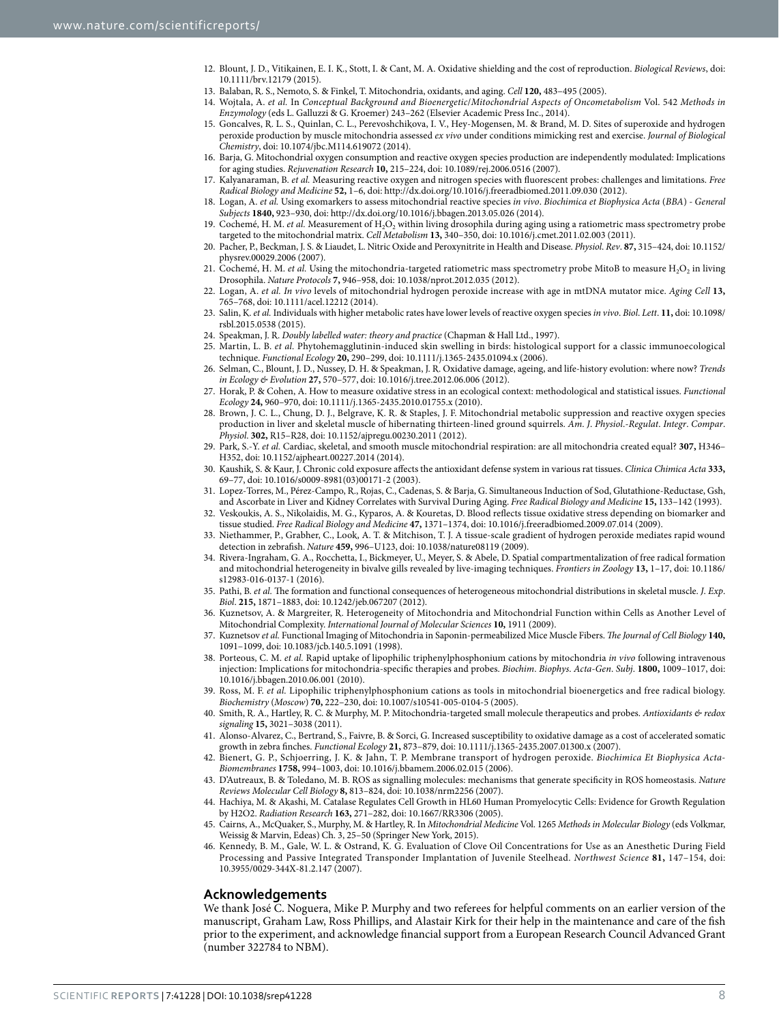- 12. Blount, J. D., Vitikainen, E. I. K., Stott, I. & Cant, M. A. Oxidative shielding and the cost of reproduction. *Biological Reviews*, doi: 10.1111/brv.12179 (2015).
- <span id="page-7-0"></span>13. Balaban, R. S., Nemoto, S. & Finkel, T. Mitochondria, oxidants, and aging. *Cell* **120,** 483–495 (2005).
- <span id="page-7-1"></span>14. Wojtala, A. *et al.* In *Conceptual Background and Bioenergetic*/*Mitochondrial Aspects of Oncometabolism* Vol. 542 *Methods in Enzymology* (eds L. Galluzzi & G. Kroemer) 243–262 (Elsevier Academic Press Inc., 2014).
- <span id="page-7-2"></span>15. Goncalves, R. L. S., Quinlan, C. L., Perevoshchikova, I. V., Hey-Mogensen, M. & Brand, M. D. Sites of superoxide and hydrogen peroxide production by muscle mitochondria assessed *ex vivo* under conditions mimicking rest and exercise. *Journal of Biological Chemistry*, doi: 10.1074/jbc.M114.619072 (2014).
- 16. Barja, G. Mitochondrial oxygen consumption and reactive oxygen species production are independently modulated: Implications for aging studies. *Rejuvenation Research* **10,** 215–224, doi: 10.1089/rej.2006.0516 (2007).
- 17. Kalyanaraman, B. *et al.* Measuring reactive oxygen and nitrogen species with fluorescent probes: challenges and limitations. *Free Radical Biology and Medicine* **52,** 1–6, doi:<http://dx.doi.org/10.1016/j.freeradbiomed.2011.09.030>(2012).
- <span id="page-7-3"></span>18. Logan, A. *et al.* Using exomarkers to assess mitochondrial reactive species *in vivo*. *Biochimica et Biophysica Acta* (*BBA*) *- General Subjects* **1840,** 923–930, doi:<http://dx.doi.org/10.1016/j.bbagen.2013.05.026> (2014).
- <span id="page-7-4"></span>19. Cochemé, H. M. *et al.* Measurement of H<sub>2</sub>O<sub>2</sub> within living drosophila during aging using a ratiometric mass spectrometry probe targeted to the mitochondrial matrix. *Cell Metabolism* **13,** 340–350, doi: 10.1016/j.cmet.2011.02.003 (2011).
- <span id="page-7-5"></span>20. Pacher, P., Beckman, J. S. & Liaudet, L. Nitric Oxide and Peroxynitrite in Health and Disease. *Physiol*. *Rev*. **87,** 315–424, doi: 10.1152/ physrev.00029.2006 (2007).
- <span id="page-7-6"></span>21. Cochemé, H. M. *et al.* Using the mitochondria-targeted ratiometric mass spectrometry probe MitoB to measure H<sub>2</sub>O<sub>2</sub> in living Drosophila. *Nature Protocols* **7,** 946–958, doi: 10.1038/nprot.2012.035 (2012).
- <span id="page-7-7"></span>22. Logan, A. *et al. In vivo* levels of mitochondrial hydrogen peroxide increase with age in mtDNA mutator mice. *Aging Cell* **13,** 765–768, doi: 10.1111/acel.12212 (2014).
- <span id="page-7-8"></span>23. Salin, K. *et al.* Individuals with higher metabolic rates have lower levels of reactive oxygen species *in vivo*. *Biol*. *Lett*. **11,** doi: 10.1098/ rsbl.2015.0538 (2015).
- <span id="page-7-9"></span>24. Speakman, J. R. *Doubly labelled water: theory and practice* (Chapman & Hall Ltd., 1997).
- <span id="page-7-10"></span>25. Martin, L. B. *et al.* Phytohemagglutinin-induced skin swelling in birds: histological support for a classic immunoecological technique. *Functional Ecology* **20,** 290–299, doi: 10.1111/j.1365-2435.01094.x (2006).
- <span id="page-7-11"></span>26. Selman, C., Blount, J. D., Nussey, D. H. & Speakman, J. R. Oxidative damage, ageing, and life-history evolution: where now? *Trends in Ecology & Evolution* **27,** 570–577, doi: 10.1016/j.tree.2012.06.006 (2012).
- <span id="page-7-12"></span>27. Horak, P. & Cohen, A. How to measure oxidative stress in an ecological context: methodological and statistical issues. *Functional Ecology* **24,** 960–970, doi: 10.1111/j.1365-2435.2010.01755.x (2010).
- <span id="page-7-13"></span>28. Brown, J. C. L., Chung, D. J., Belgrave, K. R. & Staples, J. F. Mitochondrial metabolic suppression and reactive oxygen species production in liver and skeletal muscle of hibernating thirteen-lined ground squirrels. *Am*. *J*. *Physiol*.*-Regulat*. *Integr*. *Compar*. *Physiol*. **302,** R15–R28, doi: 10.1152/ajpregu.00230.2011 (2012).
- <span id="page-7-14"></span>29. Park, S.-Y. *et al.* Cardiac, skeletal, and smooth muscle mitochondrial respiration: are all mitochondria created equal? **307,** H346– H352, doi: 10.1152/ajpheart.00227.2014 (2014).
- <span id="page-7-15"></span>30. Kaushik, S. & Kaur, J. Chronic cold exposure affects the antioxidant defense system in various rat tissues. *Clinica Chimica Acta* **333,** 69–77, doi: 10.1016/s0009-8981(03)00171-2 (2003).
- 31. Lopez-Torres, M., Pérez-Campo, R., Rojas, C., Cadenas, S. & Barja, G. Simultaneous Induction of Sod, Glutathione-Reductase, Gsh, and Ascorbate in Liver and Kidney Correlates with Survival During Aging. *Free Radical Biology and Medicine* **15,** 133–142 (1993).
- 32. Veskoukis, A. S., Nikolaidis, M. G., Kyparos, A. & Kouretas, D. Blood reflects tissue oxidative stress depending on biomarker and tissue studied. *Free Radical Biology and Medicine* **47,** 1371–1374, doi: 10.1016/j.freeradbiomed.2009.07.014 (2009).
- <span id="page-7-16"></span>33. Niethammer, P., Grabher, C., Look, A. T. & Mitchison, T. J. A tissue-scale gradient of hydrogen peroxide mediates rapid wound detection in zebrafish. *Nature* **459,** 996–U123, doi: 10.1038/nature08119 (2009).
- <span id="page-7-17"></span>34. Rivera-Ingraham, G. A., Rocchetta, I., Bickmeyer, U., Meyer, S. & Abele, D. Spatial compartmentalization of free radical formation and mitochondrial heterogeneity in bivalve gills revealed by live-imaging techniques. *Frontiers in Zoology* **13,** 1–17, doi: 10.1186/ s12983-016-0137-1 (2016).
- <span id="page-7-18"></span>35. Pathi, B. *et al.* The formation and functional consequences of heterogeneous mitochondrial distributions in skeletal muscle. *J*. *Exp*. *Biol*. **215,** 1871–1883, doi: 10.1242/jeb.067207 (2012).
- <span id="page-7-19"></span>36. Kuznetsov, A. & Margreiter, R. Heterogeneity of Mitochondria and Mitochondrial Function within Cells as Another Level of Mitochondrial Complexity. *International Journal of Molecular Sciences* **10,** 1911 (2009).
- <span id="page-7-20"></span>37. Kuznetsov *et al.* Functional Imaging of Mitochondria in Saponin-permeabilized Mice Muscle Fibers. *The Journal of Cell Biology* **140,** 1091–1099, doi: 10.1083/jcb.140.5.1091 (1998).
- <span id="page-7-21"></span>38. Porteous, C. M. *et al.* Rapid uptake of lipophilic triphenylphosphonium cations by mitochondria *in vivo* following intravenous injection: Implications for mitochondria-specific therapies and probes. *Biochim*. *Biophys*. *Acta-Gen*. *Subj*. **1800,** 1009–1017, doi: 10.1016/j.bbagen.2010.06.001 (2010).
- 39. Ross, M. F. *et al.* Lipophilic triphenylphosphonium cations as tools in mitochondrial bioenergetics and free radical biology. *Biochemistry* (*Moscow*) **70,** 222–230, doi: 10.1007/s10541-005-0104-5 (2005).
- 40. Smith, R. A., Hartley, R. C. & Murphy, M. P. Mitochondria-targeted small molecule therapeutics and probes. *Antioxidants & redox signaling* **15,** 3021–3038 (2011).
- <span id="page-7-22"></span>41. Alonso-Alvarez, C., Bertrand, S., Faivre, B. & Sorci, G. Increased susceptibility to oxidative damage as a cost of accelerated somatic growth in zebra finches. *Functional Ecology* **21,** 873–879, doi: 10.1111/j.1365-2435.2007.01300.x (2007).
- <span id="page-7-23"></span>42. Bienert, G. P., Schjoerring, J. K. & Jahn, T. P. Membrane transport of hydrogen peroxide. *Biochimica Et Biophysica Acta-Biomembranes* **1758,** 994–1003, doi: 10.1016/j.bbamem.2006.02.015 (2006).
- <span id="page-7-24"></span>43. D'Autreaux, B. & Toledano, M. B. ROS as signalling molecules: mechanisms that generate specificity in ROS homeostasis. *Nature Reviews Molecular Cell Biology* **8,** 813–824, doi: 10.1038/nrm2256 (2007).
- <span id="page-7-25"></span>44. Hachiya, M. & Akashi, M. Catalase Regulates Cell Growth in HL60 Human Promyelocytic Cells: Evidence for Growth Regulation by H2O2. *Radiation Research* **163,** 271–282, doi: 10.1667/RR3306 (2005).
- <span id="page-7-26"></span>45. Cairns, A., McQuaker, S., Murphy, M. & Hartley, R. In *Mitochondrial Medicine* Vol. 1265 *Methods in Molecular Biology* (eds Volkmar, Weissig & Marvin, Edeas) Ch. 3, 25–50 (Springer New York, 2015).
- <span id="page-7-27"></span>46. Kennedy, B. M., Gale, W. L. & Ostrand, K. G. Evaluation of Clove Oil Concentrations for Use as an Anesthetic During Field Processing and Passive Integrated Transponder Implantation of Juvenile Steelhead. *Northwest Science* **81,** 147–154, doi: 10.3955/0029-344X-81.2.147 (2007).

#### **Acknowledgements**

We thank José C. Noguera, Mike P. Murphy and two referees for helpful comments on an earlier version of the manuscript, Graham Law, Ross Phillips, and Alastair Kirk for their help in the maintenance and care of the fish prior to the experiment, and acknowledge financial support from a European Research Council Advanced Grant (number 322784 to NBM).